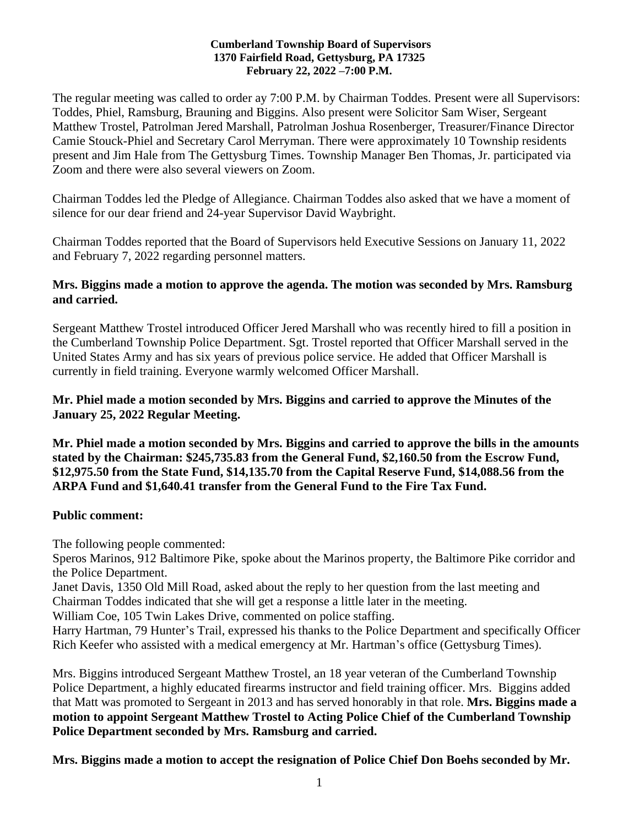#### **Cumberland Township Board of Supervisors 1370 Fairfield Road, Gettysburg, PA 17325 February 22, 2022 –7:00 P.M.**

The regular meeting was called to order ay 7:00 P.M. by Chairman Toddes. Present were all Supervisors: Toddes, Phiel, Ramsburg, Brauning and Biggins. Also present were Solicitor Sam Wiser, Sergeant Matthew Trostel, Patrolman Jered Marshall, Patrolman Joshua Rosenberger, Treasurer/Finance Director Camie Stouck-Phiel and Secretary Carol Merryman. There were approximately 10 Township residents present and Jim Hale from The Gettysburg Times. Township Manager Ben Thomas, Jr. participated via Zoom and there were also several viewers on Zoom.

Chairman Toddes led the Pledge of Allegiance. Chairman Toddes also asked that we have a moment of silence for our dear friend and 24-year Supervisor David Waybright.

Chairman Toddes reported that the Board of Supervisors held Executive Sessions on January 11, 2022 and February 7, 2022 regarding personnel matters.

#### **Mrs. Biggins made a motion to approve the agenda. The motion was seconded by Mrs. Ramsburg and carried.**

Sergeant Matthew Trostel introduced Officer Jered Marshall who was recently hired to fill a position in the Cumberland Township Police Department. Sgt. Trostel reported that Officer Marshall served in the United States Army and has six years of previous police service. He added that Officer Marshall is currently in field training. Everyone warmly welcomed Officer Marshall.

# **Mr. Phiel made a motion seconded by Mrs. Biggins and carried to approve the Minutes of the January 25, 2022 Regular Meeting.**

**Mr. Phiel made a motion seconded by Mrs. Biggins and carried to approve the bills in the amounts stated by the Chairman: \$245,735.83 from the General Fund, \$2,160.50 from the Escrow Fund, \$12,975.50 from the State Fund, \$14,135.70 from the Capital Reserve Fund, \$14,088.56 from the ARPA Fund and \$1,640.41 transfer from the General Fund to the Fire Tax Fund.**

# **Public comment:**

The following people commented:

Speros Marinos, 912 Baltimore Pike, spoke about the Marinos property, the Baltimore Pike corridor and the Police Department.

Janet Davis, 1350 Old Mill Road, asked about the reply to her question from the last meeting and Chairman Toddes indicated that she will get a response a little later in the meeting.

William Coe, 105 Twin Lakes Drive, commented on police staffing.

Harry Hartman, 79 Hunter's Trail, expressed his thanks to the Police Department and specifically Officer Rich Keefer who assisted with a medical emergency at Mr. Hartman's office (Gettysburg Times).

Mrs. Biggins introduced Sergeant Matthew Trostel, an 18 year veteran of the Cumberland Township Police Department, a highly educated firearms instructor and field training officer. Mrs. Biggins added that Matt was promoted to Sergeant in 2013 and has served honorably in that role. **Mrs. Biggins made a motion to appoint Sergeant Matthew Trostel to Acting Police Chief of the Cumberland Township Police Department seconded by Mrs. Ramsburg and carried.**

**Mrs. Biggins made a motion to accept the resignation of Police Chief Don Boehs seconded by Mr.**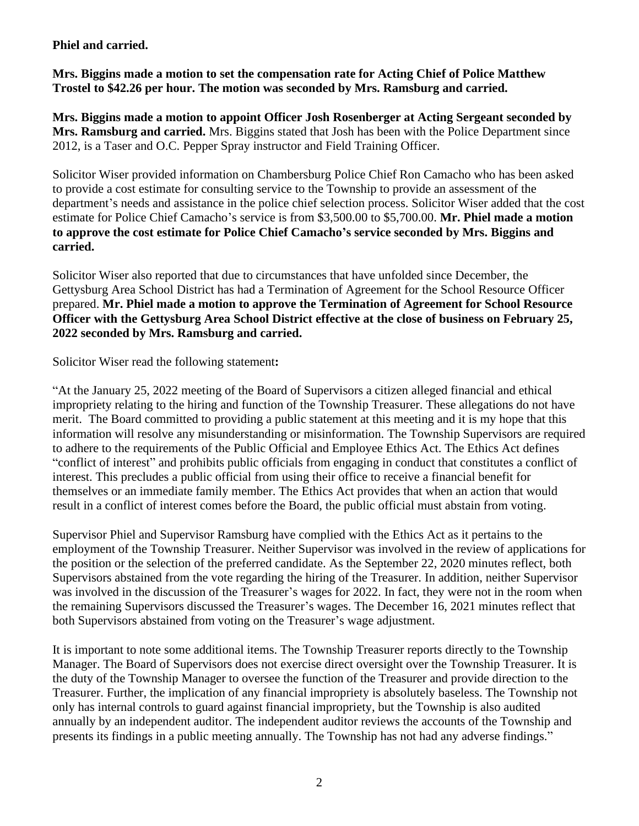#### **Phiel and carried.**

**Mrs. Biggins made a motion to set the compensation rate for Acting Chief of Police Matthew Trostel to \$42.26 per hour. The motion was seconded by Mrs. Ramsburg and carried.**

**Mrs. Biggins made a motion to appoint Officer Josh Rosenberger at Acting Sergeant seconded by Mrs. Ramsburg and carried.** Mrs. Biggins stated that Josh has been with the Police Department since 2012, is a Taser and O.C. Pepper Spray instructor and Field Training Officer.

Solicitor Wiser provided information on Chambersburg Police Chief Ron Camacho who has been asked to provide a cost estimate for consulting service to the Township to provide an assessment of the department's needs and assistance in the police chief selection process. Solicitor Wiser added that the cost estimate for Police Chief Camacho's service is from \$3,500.00 to \$5,700.00. **Mr. Phiel made a motion to approve the cost estimate for Police Chief Camacho's service seconded by Mrs. Biggins and carried.**

Solicitor Wiser also reported that due to circumstances that have unfolded since December, the Gettysburg Area School District has had a Termination of Agreement for the School Resource Officer prepared. **Mr. Phiel made a motion to approve the Termination of Agreement for School Resource Officer with the Gettysburg Area School District effective at the close of business on February 25, 2022 seconded by Mrs. Ramsburg and carried.**

Solicitor Wiser read the following statement**:**

"At the January 25, 2022 meeting of the Board of Supervisors a citizen alleged financial and ethical impropriety relating to the hiring and function of the Township Treasurer. These allegations do not have merit. The Board committed to providing a public statement at this meeting and it is my hope that this information will resolve any misunderstanding or misinformation. The Township Supervisors are required to adhere to the requirements of the Public Official and Employee Ethics Act. The Ethics Act defines "conflict of interest" and prohibits public officials from engaging in conduct that constitutes a conflict of interest. This precludes a public official from using their office to receive a financial benefit for themselves or an immediate family member. The Ethics Act provides that when an action that would result in a conflict of interest comes before the Board, the public official must abstain from voting.

Supervisor Phiel and Supervisor Ramsburg have complied with the Ethics Act as it pertains to the employment of the Township Treasurer. Neither Supervisor was involved in the review of applications for the position or the selection of the preferred candidate. As the September 22, 2020 minutes reflect, both Supervisors abstained from the vote regarding the hiring of the Treasurer. In addition, neither Supervisor was involved in the discussion of the Treasurer's wages for 2022. In fact, they were not in the room when the remaining Supervisors discussed the Treasurer's wages. The December 16, 2021 minutes reflect that both Supervisors abstained from voting on the Treasurer's wage adjustment.

It is important to note some additional items. The Township Treasurer reports directly to the Township Manager. The Board of Supervisors does not exercise direct oversight over the Township Treasurer. It is the duty of the Township Manager to oversee the function of the Treasurer and provide direction to the Treasurer. Further, the implication of any financial impropriety is absolutely baseless. The Township not only has internal controls to guard against financial impropriety, but the Township is also audited annually by an independent auditor. The independent auditor reviews the accounts of the Township and presents its findings in a public meeting annually. The Township has not had any adverse findings."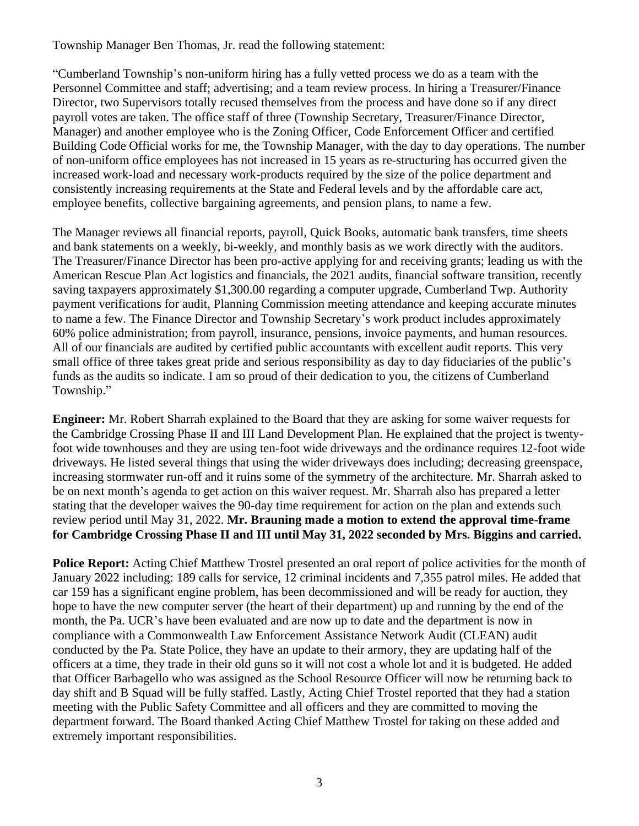Township Manager Ben Thomas, Jr. read the following statement:

"Cumberland Township's non-uniform hiring has a fully vetted process we do as a team with the Personnel Committee and staff; advertising; and a team review process. In hiring a Treasurer/Finance Director, two Supervisors totally recused themselves from the process and have done so if any direct payroll votes are taken. The office staff of three (Township Secretary, Treasurer/Finance Director, Manager) and another employee who is the Zoning Officer, Code Enforcement Officer and certified Building Code Official works for me, the Township Manager, with the day to day operations. The number of non-uniform office employees has not increased in 15 years as re-structuring has occurred given the increased work-load and necessary work-products required by the size of the police department and consistently increasing requirements at the State and Federal levels and by the affordable care act, employee benefits, collective bargaining agreements, and pension plans, to name a few.

The Manager reviews all financial reports, payroll, Quick Books, automatic bank transfers, time sheets and bank statements on a weekly, bi-weekly, and monthly basis as we work directly with the auditors. The Treasurer/Finance Director has been pro-active applying for and receiving grants; leading us with the American Rescue Plan Act logistics and financials, the 2021 audits, financial software transition, recently saving taxpayers approximately \$1,300.00 regarding a computer upgrade, Cumberland Twp. Authority payment verifications for audit, Planning Commission meeting attendance and keeping accurate minutes to name a few. The Finance Director and Township Secretary's work product includes approximately 60% police administration; from payroll, insurance, pensions, invoice payments, and human resources. All of our financials are audited by certified public accountants with excellent audit reports. This very small office of three takes great pride and serious responsibility as day to day fiduciaries of the public's funds as the audits so indicate. I am so proud of their dedication to you, the citizens of Cumberland Township."

**Engineer:** Mr. Robert Sharrah explained to the Board that they are asking for some waiver requests for the Cambridge Crossing Phase II and III Land Development Plan. He explained that the project is twentyfoot wide townhouses and they are using ten-foot wide driveways and the ordinance requires 12-foot wide driveways. He listed several things that using the wider driveways does including; decreasing greenspace, increasing stormwater run-off and it ruins some of the symmetry of the architecture. Mr. Sharrah asked to be on next month's agenda to get action on this waiver request. Mr. Sharrah also has prepared a letter stating that the developer waives the 90-day time requirement for action on the plan and extends such review period until May 31, 2022. **Mr. Brauning made a motion to extend the approval time-frame for Cambridge Crossing Phase II and III until May 31, 2022 seconded by Mrs. Biggins and carried.**

**Police Report:** Acting Chief Matthew Trostel presented an oral report of police activities for the month of January 2022 including: 189 calls for service, 12 criminal incidents and 7,355 patrol miles. He added that car 159 has a significant engine problem, has been decommissioned and will be ready for auction, they hope to have the new computer server (the heart of their department) up and running by the end of the month, the Pa. UCR's have been evaluated and are now up to date and the department is now in compliance with a Commonwealth Law Enforcement Assistance Network Audit (CLEAN) audit conducted by the Pa. State Police, they have an update to their armory, they are updating half of the officers at a time, they trade in their old guns so it will not cost a whole lot and it is budgeted. He added that Officer Barbagello who was assigned as the School Resource Officer will now be returning back to day shift and B Squad will be fully staffed. Lastly, Acting Chief Trostel reported that they had a station meeting with the Public Safety Committee and all officers and they are committed to moving the department forward. The Board thanked Acting Chief Matthew Trostel for taking on these added and extremely important responsibilities.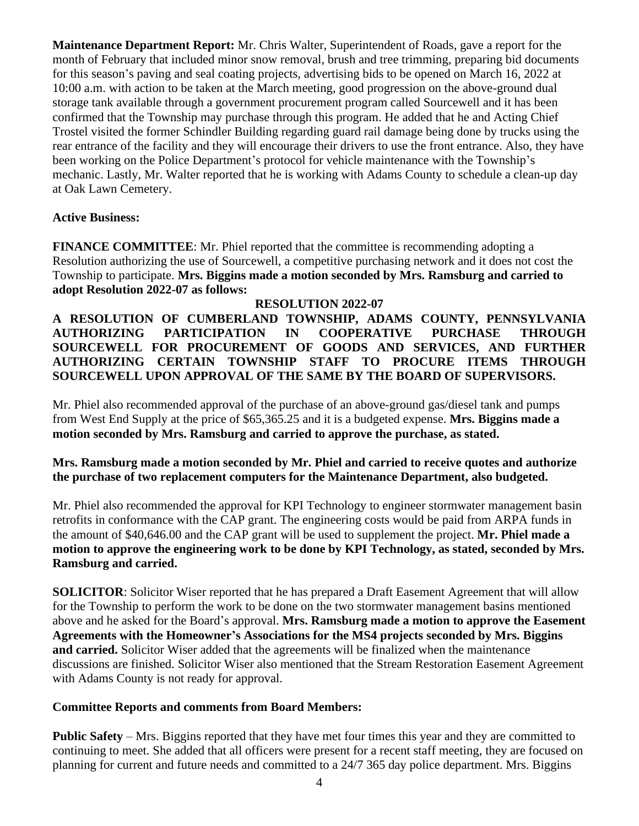**Maintenance Department Report:** Mr. Chris Walter, Superintendent of Roads, gave a report for the month of February that included minor snow removal, brush and tree trimming, preparing bid documents for this season's paving and seal coating projects, advertising bids to be opened on March 16, 2022 at 10:00 a.m. with action to be taken at the March meeting, good progression on the above-ground dual storage tank available through a government procurement program called Sourcewell and it has been confirmed that the Township may purchase through this program. He added that he and Acting Chief Trostel visited the former Schindler Building regarding guard rail damage being done by trucks using the rear entrance of the facility and they will encourage their drivers to use the front entrance. Also, they have been working on the Police Department's protocol for vehicle maintenance with the Township's mechanic. Lastly, Mr. Walter reported that he is working with Adams County to schedule a clean-up day at Oak Lawn Cemetery.

# **Active Business:**

**FINANCE COMMITTEE:** Mr. Phiel reported that the committee is recommending adopting a Resolution authorizing the use of Sourcewell, a competitive purchasing network and it does not cost the Township to participate. **Mrs. Biggins made a motion seconded by Mrs. Ramsburg and carried to adopt Resolution 2022-07 as follows:**

# **RESOLUTION 2022-07**

**A RESOLUTION OF CUMBERLAND TOWNSHIP, ADAMS COUNTY, PENNSYLVANIA AUTHORIZING PARTICIPATION IN COOPERATIVE PURCHASE THROUGH SOURCEWELL FOR PROCUREMENT OF GOODS AND SERVICES, AND FURTHER AUTHORIZING CERTAIN TOWNSHIP STAFF TO PROCURE ITEMS THROUGH SOURCEWELL UPON APPROVAL OF THE SAME BY THE BOARD OF SUPERVISORS.**

Mr. Phiel also recommended approval of the purchase of an above-ground gas/diesel tank and pumps from West End Supply at the price of \$65,365.25 and it is a budgeted expense. **Mrs. Biggins made a motion seconded by Mrs. Ramsburg and carried to approve the purchase, as stated.** 

# **Mrs. Ramsburg made a motion seconded by Mr. Phiel and carried to receive quotes and authorize the purchase of two replacement computers for the Maintenance Department, also budgeted.**

Mr. Phiel also recommended the approval for KPI Technology to engineer stormwater management basin retrofits in conformance with the CAP grant. The engineering costs would be paid from ARPA funds in the amount of \$40,646.00 and the CAP grant will be used to supplement the project. **Mr. Phiel made a motion to approve the engineering work to be done by KPI Technology, as stated, seconded by Mrs. Ramsburg and carried.** 

**SOLICITOR:** Solicitor Wiser reported that he has prepared a Draft Easement Agreement that will allow for the Township to perform the work to be done on the two stormwater management basins mentioned above and he asked for the Board's approval. **Mrs. Ramsburg made a motion to approve the Easement Agreements with the Homeowner's Associations for the MS4 projects seconded by Mrs. Biggins and carried.** Solicitor Wiser added that the agreements will be finalized when the maintenance discussions are finished. Solicitor Wiser also mentioned that the Stream Restoration Easement Agreement with Adams County is not ready for approval.

# **Committee Reports and comments from Board Members:**

**Public Safety** – Mrs. Biggins reported that they have met four times this year and they are committed to continuing to meet. She added that all officers were present for a recent staff meeting, they are focused on planning for current and future needs and committed to a 24/7 365 day police department. Mrs. Biggins